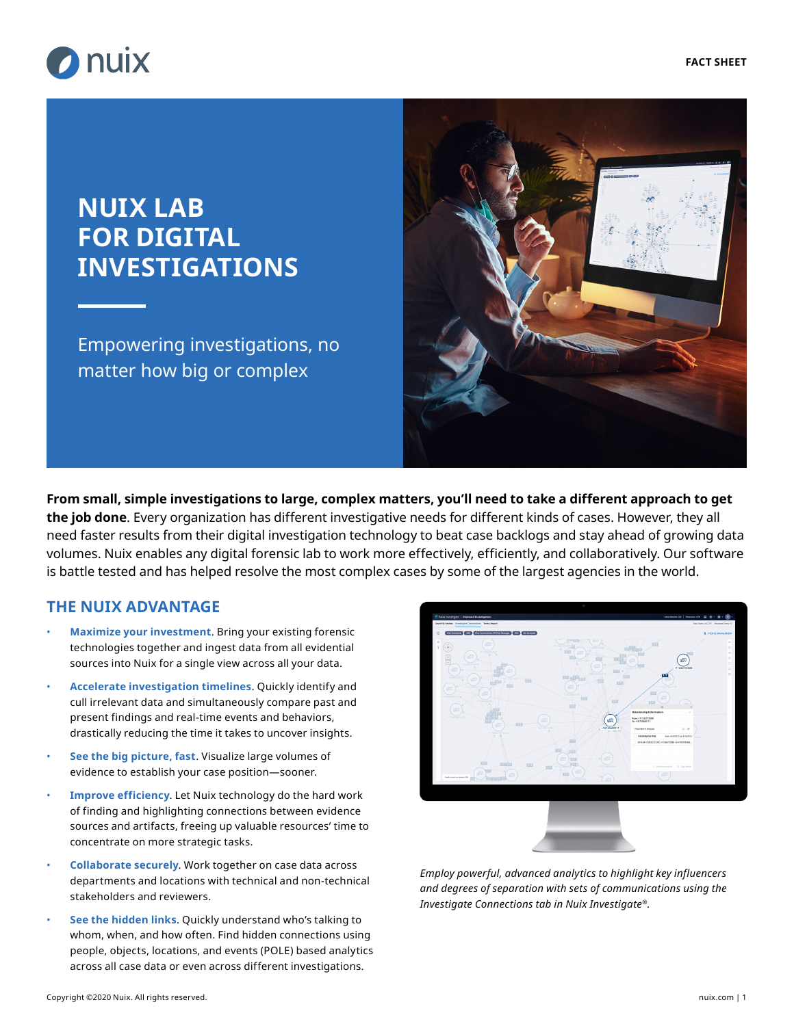

# **NUIX LAB FOR DIGITAL INVESTIGATIONS**

Empowering investigations, no matter how big or complex



**From small, simple investigations to large, complex matters, you'll need to take a different approach to get the job done**. Every organization has different investigative needs for different kinds of cases. However, they all need faster results from their digital investigation technology to beat case backlogs and stay ahead of growing data volumes. Nuix enables any digital forensic lab to work more effectively, efficiently, and collaboratively. Our software is battle tested and has helped resolve the most complex cases by some of the largest agencies in the world.

## **THE NUIX ADVANTAGE**

- **Maximize your investment**. Bring your existing forensic technologies together and ingest data from all evidential sources into Nuix for a single view across all your data.
- **Accelerate investigation timelines**. Quickly identify and cull irrelevant data and simultaneously compare past and present findings and real-time events and behaviors, drastically reducing the time it takes to uncover insights.
- **See the big picture, fast**. Visualize large volumes of evidence to establish your case position—sooner.
- **Improve efficiency**. Let Nuix technology do the hard work of finding and highlighting connections between evidence sources and artifacts, freeing up valuable resources' time to concentrate on more strategic tasks.
- **Collaborate securely**. Work together on case data across departments and locations with technical and non-technical stakeholders and reviewers.
- **See the hidden links**. Quickly understand who's talking to whom, when, and how often. Find hidden connections using people, objects, locations, and events (POLE) based analytics across all case data or even across different investigations.